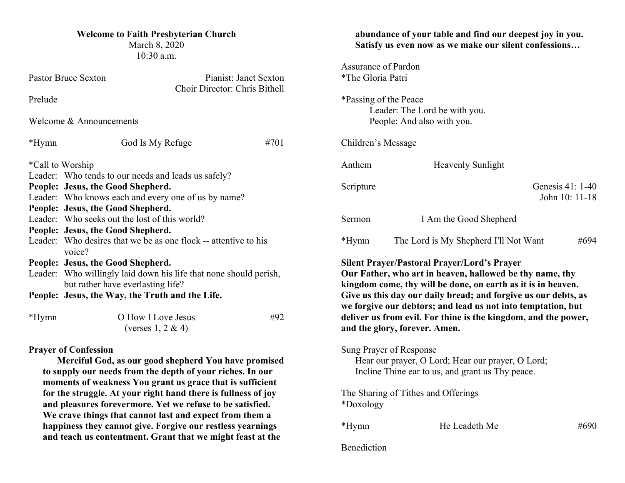### **Welcome to Faith Presbyterian Church**

March 8, 2020 10:30 a.m.

| <b>Pastor Bruce Sexton</b>                                                                                                                                                                                                                                                     |                                                                                                        | Pianist: Janet Sexton<br>Choir Director: Chris Bithell |      |  |  |  |
|--------------------------------------------------------------------------------------------------------------------------------------------------------------------------------------------------------------------------------------------------------------------------------|--------------------------------------------------------------------------------------------------------|--------------------------------------------------------|------|--|--|--|
| Prelude                                                                                                                                                                                                                                                                        |                                                                                                        |                                                        |      |  |  |  |
| Welcome & Announcements                                                                                                                                                                                                                                                        |                                                                                                        |                                                        |      |  |  |  |
| *Hymn                                                                                                                                                                                                                                                                          | God Is My Refuge                                                                                       |                                                        | #701 |  |  |  |
| *Call to Worship                                                                                                                                                                                                                                                               |                                                                                                        |                                                        |      |  |  |  |
| Leader: Who tends to our needs and leads us safely?                                                                                                                                                                                                                            |                                                                                                        |                                                        |      |  |  |  |
|                                                                                                                                                                                                                                                                                | People: Jesus, the Good Shepherd.                                                                      |                                                        |      |  |  |  |
|                                                                                                                                                                                                                                                                                | Leader: Who knows each and every one of us by name?                                                    |                                                        |      |  |  |  |
|                                                                                                                                                                                                                                                                                | People: Jesus, the Good Shepherd.                                                                      |                                                        |      |  |  |  |
|                                                                                                                                                                                                                                                                                | Leader: Who seeks out the lost of this world?                                                          |                                                        |      |  |  |  |
|                                                                                                                                                                                                                                                                                | People: Jesus, the Good Shepherd.                                                                      |                                                        |      |  |  |  |
|                                                                                                                                                                                                                                                                                | Leader: Who desires that we be as one flock -- attentive to his<br>voice?                              |                                                        |      |  |  |  |
|                                                                                                                                                                                                                                                                                | People: Jesus, the Good Shepherd.                                                                      |                                                        |      |  |  |  |
|                                                                                                                                                                                                                                                                                | Leader: Who willingly laid down his life that none should perish,<br>but rather have everlasting life? |                                                        |      |  |  |  |
| People: Jesus, the Way, the Truth and the Life.                                                                                                                                                                                                                                |                                                                                                        |                                                        |      |  |  |  |
| $*Hymn$                                                                                                                                                                                                                                                                        | O How I Love Jesus<br>(verses $1, 2 \& 4$ )                                                            |                                                        | #92  |  |  |  |
| <b>Prayer of Confession</b><br>Merciful God, as our good shepherd You have promised<br>to supply our needs from the depth of your riches. In our<br>moments of weakness You grant us grace that is sufficient<br>for the struggle. At your right hand there is fullness of joy |                                                                                                        |                                                        |      |  |  |  |

**and pleasures forevermore. Yet we refuse to be satisfied. We crave things that cannot last and expect from them a happiness they cannot give. Forgive our restless yearnings and teach us contentment. Grant that we might feast at the** 

# **abundance of your table and find our deepest joy in you. Satisfy us even now as we make our silent confessions…** Assurance of Pardon \*The Gloria Patri \*Passing of the Peace Leader: The Lord be with you. People: And also with you. Children's Message

Scripture Genesis 41: 1-40 John 10: 11-18

| Sermon | I Am the Good Shepherd                |      |
|--------|---------------------------------------|------|
| *Hymn  | The Lord is My Shepherd I'll Not Want | #694 |

**Silent Prayer/Pastoral Prayer/Lord's Prayer**

Anthem Heavenly Sunlight

**Our Father, who art in heaven, hallowed be thy name, thy kingdom come, thy will be done, on earth as it is in heaven. Give us this day our daily bread; and forgive us our debts, as we forgive our debtors; and lead us not into temptation, but deliver us from evil. For thine is the kingdom, and the power, and the glory, forever. Amen.**

Sung Prayer of Response

Hear our prayer, O Lord; Hear our prayer, O Lord; Incline Thine ear to us, and grant us Thy peace.

The Sharing of Tithes and Offerings \*Doxology

\*Hymn He Leadeth Me #690

**Benediction**